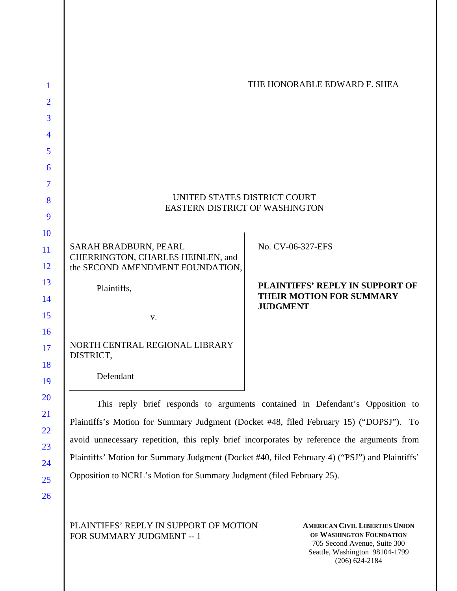| NORTH CENTRAL REGIONAL LIBRARY<br>DISTRICT,                |                                             |
|------------------------------------------------------------|---------------------------------------------|
|                                                            |                                             |
| $V_{\cdot}$                                                |                                             |
|                                                            | THEIR MOTION FOR SUMMARY<br><b>JUDGMENT</b> |
| Plaintiffs,                                                | PLAINTIFFS' REPLY IN SUPPORT OF             |
| the SECOND AMENDMENT FOUNDATION,                           |                                             |
| SARAH BRADBURN, PEARL<br>CHERRINGTON, CHARLES HEINLEN, and | No. CV-06-327-EFS                           |
|                                                            |                                             |
| EASTERN DISTRICT OF WASHINGTON                             |                                             |
| UNITED STATES DISTRICT COURT                               |                                             |
|                                                            |                                             |
|                                                            |                                             |
|                                                            |                                             |
|                                                            |                                             |
|                                                            |                                             |
|                                                            | THE HONORABLE EDWARD F. SHEA                |
|                                                            |                                             |

immary Judgment (Docket #48, filed February 15) ("DOPSJ"). avoid unnecessary repetition, this reply brief incorporates by reference the arguments from Plaintiffs' Motion for Summary Judgment (Docket #40, filed February 4) ("PSJ") and Plaintiffs' Opposition to NCRL's Motion for Summary Judgment (filed February 25).

PLAINTIFFS' REPLY IN SUPPORT OF MOTION FOR SUMMARY JUDGMENT -- 1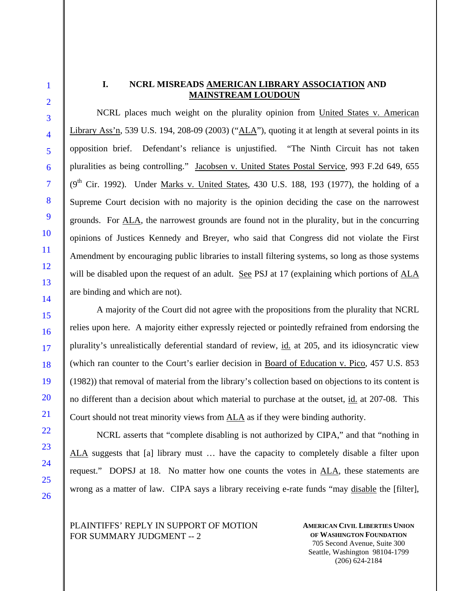# **I. NCRL MISREADS AMERICAN LIBRARY ASSOCIATION AND MAINSTREAM LOUDOUN**

NCRL places much weight on the plurality opinion from United States v. American Library Ass'n, 539 U.S. 194, 208-09 (2003) ("ALA"), quoting it at length at several points in its opposition brief. Defendant's reliance is unjustified. "The Ninth Circuit has not taken pluralities as being controlling." Jacobsen v. United States Postal Service, 993 F.2d 649, 655  $(9<sup>th</sup>$  Cir. 1992). Under Marks v. United States, 430 U.S. 188, 193 (1977), the holding of a Supreme Court decision with no majority is the opinion deciding the case on the narrowest grounds. For ALA, the narrowest grounds are found not in the plurality, but in the concurring opinions of Justices Kennedy and Breyer, who said that Congress did not violate the First Amendment by encouraging public libraries to install filtering systems, so long as those systems will be disabled upon the request of an adult. See PSJ at 17 (explaining which portions of ALA are binding and which are not).

A majority of the Court did not agree with the propositions from the plurality that NCRL relies upon here. A majority either expressly rejected or pointedly refrained from endorsing the plurality's unrealistically deferential standard of review, id. at 205, and its idiosyncratic view (which ran counter to the Court's earlier decision in Board of Education v. Pico, 457 U.S. 853 (1982)) that removal of material from the library's collection based on objections to its content is no different than a decision about which material to purchase at the outset, id. at 207-08. This Court should not treat minority views from ALA as if they were binding authority.

NCRL asserts that "complete disabling is not authorized by CIPA," and that "nothing in ALA suggests that [a] library must … have the capacity to completely disable a filter upon request." DOPSJ at 18. No matter how one counts the votes in ALA, these statements are wrong as a matter of law. CIPA says a library receiving e-rate funds "may disable the [filter],

PLAINTIFFS' REPLY IN SUPPORT OF MOTION FOR SUMMARY JUDGMENT -- 2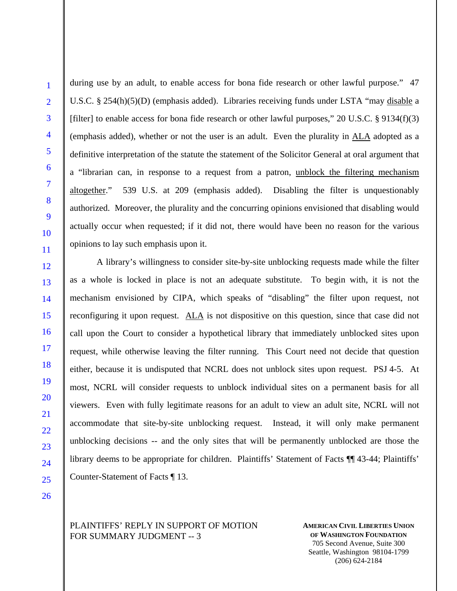during use by an adult, to enable access for bona fide research or other lawful purpose." 47 U.S.C. § 254(h)(5)(D) (emphasis added). Libraries receiving funds under LSTA "may disable a [filter] to enable access for bona fide research or other lawful purposes," 20 U.S.C. § 9134(f)(3) (emphasis added), whether or not the user is an adult. Even the plurality in ALA adopted as a definitive interpretation of the statute the statement of the Solicitor General at oral argument that a "librarian can, in response to a request from a patron, unblock the filtering mechanism altogether." 539 U.S. at 209 (emphasis added). Disabling the filter is unquestionably authorized. Moreover, the plurality and the concurring opinions envisioned that disabling would actually occur when requested; if it did not, there would have been no reason for the various opinions to lay such emphasis upon it.

A library's willingness to consider site-by-site unblocking requests made while the filter as a whole is locked in place is not an adequate substitute. To begin with, it is not the mechanism envisioned by CIPA, which speaks of "disabling" the filter upon request, not reconfiguring it upon request. ALA is not dispositive on this question, since that case did not call upon the Court to consider a hypothetical library that immediately unblocked sites upon request, while otherwise leaving the filter running. This Court need not decide that question either, because it is undisputed that NCRL does not unblock sites upon request. PSJ 4-5. At most, NCRL will consider requests to unblock individual sites on a permanent basis for all viewers. Even with fully legitimate reasons for an adult to view an adult site, NCRL will not accommodate that site-by-site unblocking request. Instead, it will only make permanent unblocking decisions -- and the only sites that will be permanently unblocked are those the library deems to be appropriate for children. Plaintiffs' Statement of Facts ¶¶ 43-44; Plaintiffs' Counter-Statement of Facts ¶ 13.

PLAINTIFFS' REPLY IN SUPPORT OF MOTION FOR SUMMARY JUDGMENT -- 3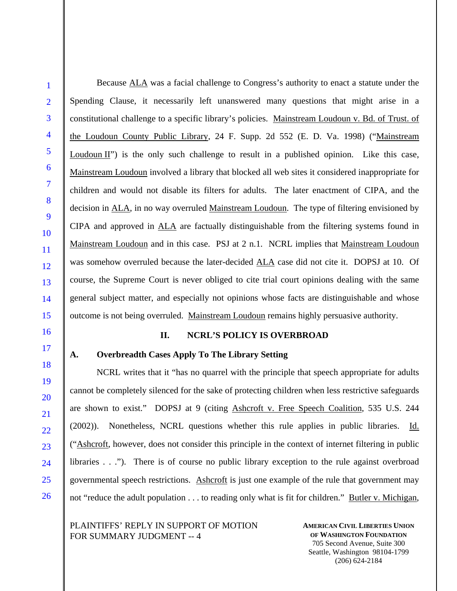Because ALA was a facial challenge to Congress's authority to enact a statute under the Spending Clause, it necessarily left unanswered many questions that might arise in a constitutional challenge to a specific library's policies. Mainstream Loudoun v. Bd. of Trust. of the Loudoun County Public Library, 24 F. Supp. 2d 552 (E. D. Va. 1998) ("Mainstream Loudoun II") is the only such challenge to result in a published opinion. Like this case, Mainstream Loudoun involved a library that blocked all web sites it considered inappropriate for children and would not disable its filters for adults. The later enactment of CIPA, and the decision in ALA, in no way overruled Mainstream Loudoun. The type of filtering envisioned by CIPA and approved in ALA are factually distinguishable from the filtering systems found in Mainstream Loudoun and in this case. PSJ at 2 n.1. NCRL implies that Mainstream Loudoun was somehow overruled because the later-decided ALA case did not cite it. DOPSJ at 10. Of course, the Supreme Court is never obliged to cite trial court opinions dealing with the same general subject matter, and especially not opinions whose facts are distinguishable and whose outcome is not being overruled. Mainstream Loudoun remains highly persuasive authority.

### **II. NCRL'S POLICY IS OVERBROAD**

### **A. Overbreadth Cases Apply To The Library Setting**

NCRL writes that it "has no quarrel with the principle that speech appropriate for adults cannot be completely silenced for the sake of protecting children when less restrictive safeguards are shown to exist." DOPSJ at 9 (citing Ashcroft v. Free Speech Coalition, 535 U.S. 244 (2002)). Nonetheless, NCRL questions whether this rule applies in public libraries. Id. ("Ashcroft, however, does not consider this principle in the context of internet filtering in public libraries . . ."). There is of course no public library exception to the rule against overbroad governmental speech restrictions. Ashcroft is just one example of the rule that government may not "reduce the adult population . . . to reading only what is fit for children." Butler v. Michigan,

PLAINTIFFS' REPLY IN SUPPORT OF MOTION FOR SUMMARY JUDGMENT -- 4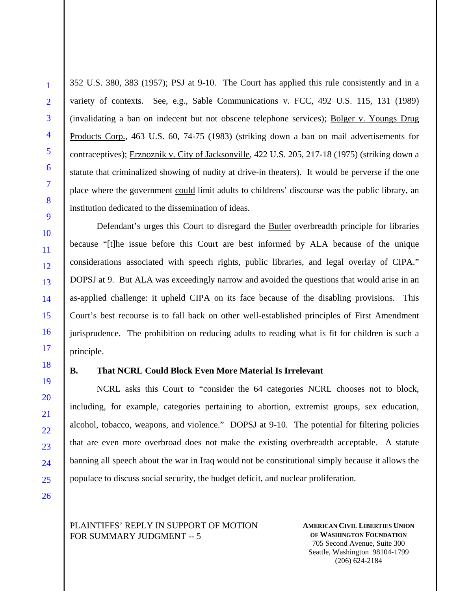352 U.S. 380, 383 (1957); PSJ at 9-10. The Court has applied this rule consistently and in a variety of contexts. See, e.g., Sable Communications v. FCC, 492 U.S. 115, 131 (1989) (invalidating a ban on indecent but not obscene telephone services); Bolger v. Youngs Drug Products Corp., 463 U.S. 60, 74-75 (1983) (striking down a ban on mail advertisements for contraceptives); Erznoznik v. City of Jacksonville, 422 U.S. 205, 217-18 (1975) (striking down a statute that criminalized showing of nudity at drive-in theaters). It would be perverse if the one place where the government could limit adults to childrens' discourse was the public library, an institution dedicated to the dissemination of ideas.

Defendant's urges this Court to disregard the Butler overbreadth principle for libraries because "[t]he issue before this Court are best informed by ALA because of the unique considerations associated with speech rights, public libraries, and legal overlay of CIPA." DOPSJ at 9. But ALA was exceedingly narrow and avoided the questions that would arise in an as-applied challenge: it upheld CIPA on its face because of the disabling provisions. This Court's best recourse is to fall back on other well-established principles of First Amendment jurisprudence. The prohibition on reducing adults to reading what is fit for children is such a principle.

### **B. That NCRL Could Block Even More Material Is Irrelevant**

NCRL asks this Court to "consider the 64 categories NCRL chooses not to block, including, for example, categories pertaining to abortion, extremist groups, sex education, alcohol, tobacco, weapons, and violence." DOPSJ at 9-10. The potential for filtering policies that are even more overbroad does not make the existing overbreadth acceptable. A statute banning all speech about the war in Iraq would not be constitutional simply because it allows the populace to discuss social security, the budget deficit, and nuclear proliferation.

PLAINTIFFS' REPLY IN SUPPORT OF MOTION FOR SUMMARY JUDGMENT -- 5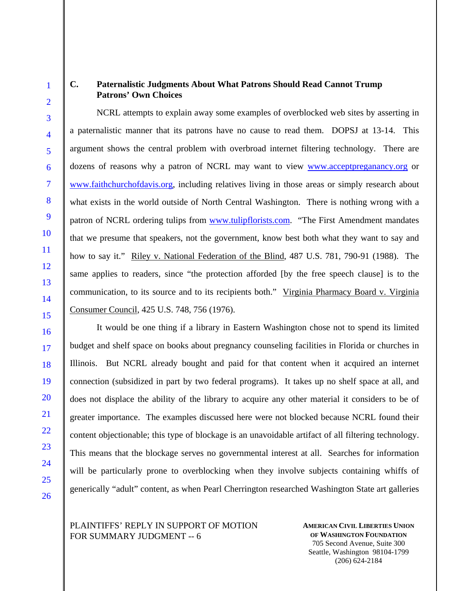## **C. Paternalistic Judgments About What Patrons Should Read Cannot Trump Patrons' Own Choices**

NCRL attempts to explain away some examples of overblocked web sites by asserting in a paternalistic manner that its patrons have no cause to read them. DOPSJ at 13-14. This argument shows the central problem with overbroad internet filtering technology. There are dozens of reasons why a patron of NCRL may want to view **WWW.acceptpreganancy.org** or www.faithchurchofdavis.org, including relatives living in those areas or simply research about what exists in the world outside of North Central Washington. There is nothing wrong with a patron of NCRL ordering tulips from www.tulipflorists.com. "The First Amendment mandates that we presume that speakers, not the government, know best both what they want to say and how to say it." Riley v. National Federation of the Blind, 487 U.S. 781, 790-91 (1988). The same applies to readers, since "the protection afforded [by the free speech clause] is to the communication, to its source and to its recipients both." Virginia Pharmacy Board v. Virginia Consumer Council, 425 U.S. 748, 756 (1976).

It would be one thing if a library in Eastern Washington chose not to spend its limited budget and shelf space on books about pregnancy counseling facilities in Florida or churches in Illinois. But NCRL already bought and paid for that content when it acquired an internet connection (subsidized in part by two federal programs). It takes up no shelf space at all, and does not displace the ability of the library to acquire any other material it considers to be of greater importance. The examples discussed here were not blocked because NCRL found their content objectionable; this type of blockage is an unavoidable artifact of all filtering technology. This means that the blockage serves no governmental interest at all. Searches for information will be particularly prone to overblocking when they involve subjects containing whiffs of generically "adult" content, as when Pearl Cherrington researched Washington State art galleries

PLAINTIFFS' REPLY IN SUPPORT OF MOTION FOR SUMMARY JUDGMENT -- 6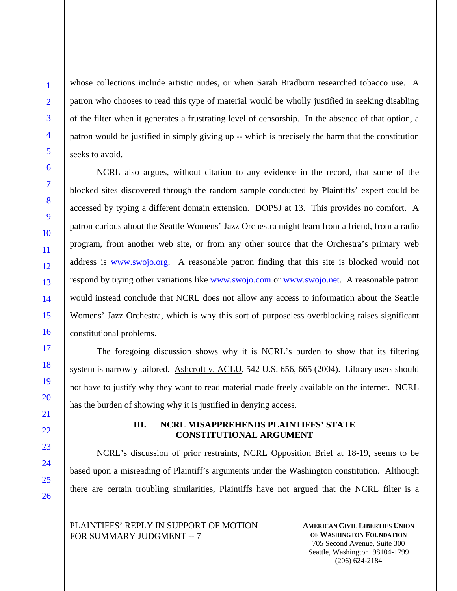whose collections include artistic nudes, or when Sarah Bradburn researched tobacco use. A patron who chooses to read this type of material would be wholly justified in seeking disabling of the filter when it generates a frustrating level of censorship. In the absence of that option, a patron would be justified in simply giving up -- which is precisely the harm that the constitution seeks to avoid.

NCRL also argues, without citation to any evidence in the record, that some of the blocked sites discovered through the random sample conducted by Plaintiffs' expert could be accessed by typing a different domain extension. DOPSJ at 13. This provides no comfort. A patron curious about the Seattle Womens' Jazz Orchestra might learn from a friend, from a radio program, from another web site, or from any other source that the Orchestra's primary web address is www.swojo.org. A reasonable patron finding that this site is blocked would not respond by trying other variations like www.swojo.com or www.swojo.net. A reasonable patron would instead conclude that NCRL does not allow any access to information about the Seattle Womens' Jazz Orchestra, which is why this sort of purposeless overblocking raises significant constitutional problems.

The foregoing discussion shows why it is NCRL's burden to show that its filtering system is narrowly tailored. Ashcroft v. ACLU, 542 U.S. 656, 665 (2004). Library users should not have to justify why they want to read material made freely available on the internet. NCRL has the burden of showing why it is justified in denying access.

### **III. NCRL MISAPPREHENDS PLAINTIFFS' STATE CONSTITUTIONAL ARGUMENT**

NCRL's discussion of prior restraints, NCRL Opposition Brief at 18-19, seems to be based upon a misreading of Plaintiff's arguments under the Washington constitution. Although there are certain troubling similarities, Plaintiffs have not argued that the NCRL filter is a

PLAINTIFFS' REPLY IN SUPPORT OF MOTION FOR SUMMARY JUDGMENT -- 7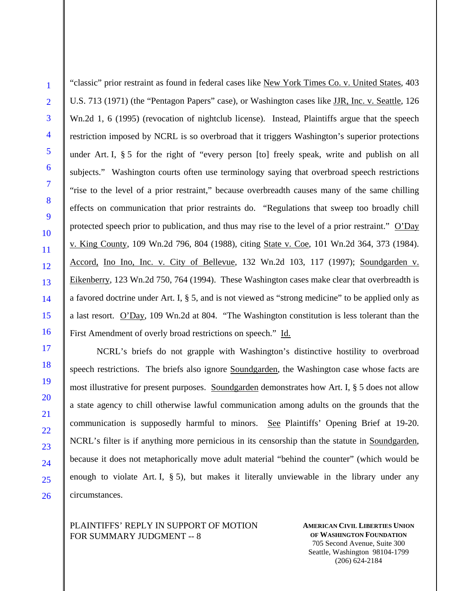"classic" prior restraint as found in federal cases like New York Times Co. v. United States, 403 U.S. 713 (1971) (the "Pentagon Papers" case), or Washington cases like JJR, Inc. v. Seattle, 126 Wn.2d 1, 6 (1995) (revocation of nightclub license). Instead, Plaintiffs argue that the speech restriction imposed by NCRL is so overbroad that it triggers Washington's superior protections under Art. I, § 5 for the right of "every person [to] freely speak, write and publish on all subjects." Washington courts often use terminology saying that overbroad speech restrictions "rise to the level of a prior restraint," because overbreadth causes many of the same chilling effects on communication that prior restraints do. "Regulations that sweep too broadly chill protected speech prior to publication, and thus may rise to the level of a prior restraint." O'Day v. King County, 109 Wn.2d 796, 804 (1988), citing State v. Coe, 101 Wn.2d 364, 373 (1984). Accord, Ino Ino, Inc. v. City of Bellevue, 132 Wn.2d 103, 117 (1997); Soundgarden v. Eikenberry, 123 Wn.2d 750, 764 (1994). These Washington cases make clear that overbreadth is a favored doctrine under Art. I, § 5, and is not viewed as "strong medicine" to be applied only as a last resort. O'Day, 109 Wn.2d at 804. "The Washington constitution is less tolerant than the First Amendment of overly broad restrictions on speech." Id.

NCRL's briefs do not grapple with Washington's distinctive hostility to overbroad speech restrictions. The briefs also ignore Soundgarden, the Washington case whose facts are most illustrative for present purposes. Soundgarden demonstrates how Art. I, § 5 does not allow a state agency to chill otherwise lawful communication among adults on the grounds that the communication is supposedly harmful to minors. See Plaintiffs' Opening Brief at 19-20. NCRL's filter is if anything more pernicious in its censorship than the statute in Soundgarden, because it does not metaphorically move adult material "behind the counter" (which would be enough to violate Art. I, § 5), but makes it literally unviewable in the library under any circumstances.

PLAINTIFFS' REPLY IN SUPPORT OF MOTION FOR SUMMARY JUDGMENT -- 8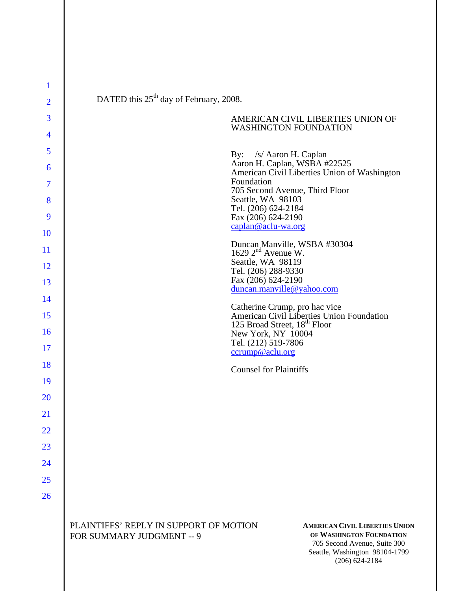| 1              | DATED this 25 <sup>th</sup> day of February, 2008.                                                                                                                                                                               |
|----------------|----------------------------------------------------------------------------------------------------------------------------------------------------------------------------------------------------------------------------------|
| $\overline{2}$ |                                                                                                                                                                                                                                  |
| 3              | AMERICAN CIVIL LIBERTIES UNION OF<br><b>WASHINGTON FOUNDATION</b>                                                                                                                                                                |
| 4              |                                                                                                                                                                                                                                  |
| 5              | By: /s/ Aaron H. Caplan<br>Aaron H. Caplan, WSBA #22525                                                                                                                                                                          |
| 6              | American Civil Liberties Union of Washington                                                                                                                                                                                     |
| 7              | Foundation<br>705 Second Avenue, Third Floor                                                                                                                                                                                     |
| 8              | Seattle, WA 98103<br>Tel. (206) 624-2184                                                                                                                                                                                         |
| 9              | Fax (206) 624-2190<br>caplan@aclu-wa.org                                                                                                                                                                                         |
| <b>10</b>      |                                                                                                                                                                                                                                  |
| <sup>11</sup>  | Duncan Manville, WSBA #30304<br>1629 $2nd$ Avenue W.                                                                                                                                                                             |
| 12             | Seattle, WA 98119<br>Tel. (206) 288-9330                                                                                                                                                                                         |
| 13             | Fax (206) 624-2190<br>duncan.manville@yahoo.com                                                                                                                                                                                  |
| 14             |                                                                                                                                                                                                                                  |
| 15             | Catherine Crump, pro hac vice<br>American Civil Liberties Union Foundation                                                                                                                                                       |
| 16             | 125 Broad Street, 18 <sup>th</sup> Floor<br>New York, NY 10004                                                                                                                                                                   |
| 17             | Tel. (212) 519-7806<br>ccrump@aclu.org                                                                                                                                                                                           |
| 18             |                                                                                                                                                                                                                                  |
| 19             | <b>Counsel for Plaintiffs</b>                                                                                                                                                                                                    |
| 20             |                                                                                                                                                                                                                                  |
| 21             |                                                                                                                                                                                                                                  |
| 22             |                                                                                                                                                                                                                                  |
| 23             |                                                                                                                                                                                                                                  |
| 24             |                                                                                                                                                                                                                                  |
|                |                                                                                                                                                                                                                                  |
| 25             |                                                                                                                                                                                                                                  |
| 26             |                                                                                                                                                                                                                                  |
|                | PLAINTIFFS' REPLY IN SUPPORT OF MOTION<br><b>AMERICAN CIVIL LIBERTIES UNION</b><br>OF WASHINGTON FOUNDATION<br>FOR SUMMARY JUDGMENT -- 9<br>705 Second Avenue, Suite 300<br>Seattle, Washington 98104-1799<br>$(206) 624 - 2184$ |